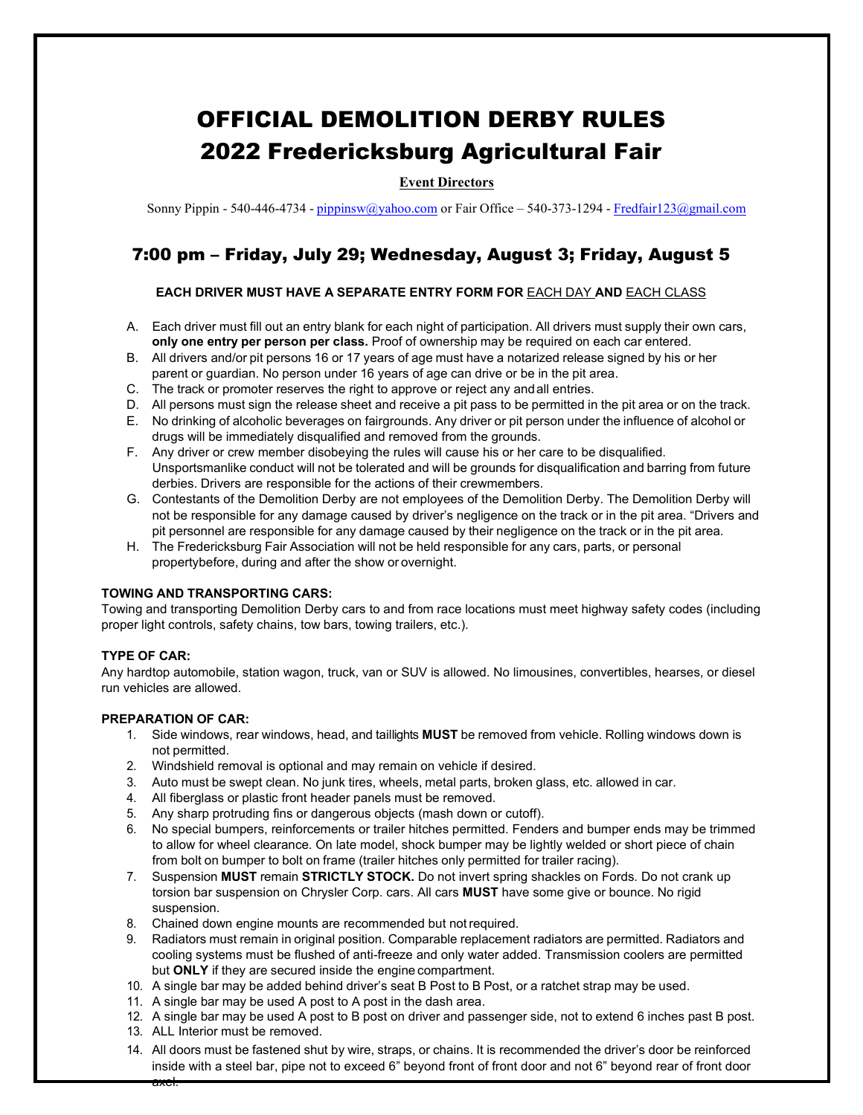# OFFICIAL DEMOLITION DERBY RULES 2022 Fredericksburg Agricultural Fair

## **Event Directors**

Sonny Pippin - 540-446-4734 - [pippinsw@yahoo.com](mailto:pippinsw@yahoo.com) or Fair Office – 540-373-1294 - [Fredfair123@gmail.com](mailto:Fredfair123@gmail.com)

# 7:00 pm – Friday, July 29; Wednesday, August 3; Friday, August 5

#### **EACH DRIVER MUST HAVE A SEPARATE ENTRY FORM FOR** EACH DAY **AND** EACH CLASS

- A. Each driver must fill out an entry blank for each night of participation. All drivers must supply their own cars, **only one entry per person per class.** Proof of ownership may be required on each car entered.
- B. All drivers and/or pit persons 16 or 17 years of age must have a notarized release signed by his or her parent or guardian. No person under 16 years of age can drive or be in the pit area.
- C. The track or promoter reserves the right to approve or reject any andall entries.
- D. All persons must sign the release sheet and receive a pit pass to be permitted in the pit area or on the track.
- E. No drinking of alcoholic beverages on fairgrounds. Any driver or pit person under the influence of alcohol or drugs will be immediately disqualified and removed from the grounds.
- F. Any driver or crew member disobeying the rules will cause his or her care to be disqualified. Unsportsmanlike conduct will not be tolerated and will be grounds for disqualification and barring from future derbies. Drivers are responsible for the actions of their crewmembers.
- G. Contestants of the Demolition Derby are not employees of the Demolition Derby. The Demolition Derby will not be responsible for any damage caused by driver's negligence on the track or in the pit area. "Drivers and pit personnel are responsible for any damage caused by their negligence on the track or in the pit area.
- H. The Fredericksburg Fair Association will not be held responsible for any cars, parts, or personal propertybefore, during and after the show or overnight.

#### **TOWING AND TRANSPORTING CARS:**

Towing and transporting Demolition Derby cars to and from race locations must meet highway safety codes (including proper light controls, safety chains, tow bars, towing trailers, etc.).

#### **TYPE OF CAR:**

Any hardtop automobile, station wagon, truck, van or SUV is allowed. No limousines, convertibles, hearses, or diesel run vehicles are allowed.

#### **PREPARATION OF CAR:**

- 1. Side windows, rear windows, head, and taillights **MUST** be removed from vehicle. Rolling windows down is not permitted.
- 2. Windshield removal is optional and may remain on vehicle if desired.
- 3. Auto must be swept clean. No junk tires, wheels, metal parts, broken glass, etc. allowed in car.
- 4. All fiberglass or plastic front header panels must be removed.
- 5. Any sharp protruding fins or dangerous objects (mash down or cutoff).
- 6. No special bumpers, reinforcements or trailer hitches permitted. Fenders and bumper ends may be trimmed to allow for wheel clearance. On late model, shock bumper may be lightly welded or short piece of chain from bolt on bumper to bolt on frame (trailer hitches only permitted for trailer racing).
- 7. Suspension **MUST** remain **STRICTLY STOCK.** Do not invert spring shackles on Fords. Do not crank up torsion bar suspension on Chrysler Corp. cars. All cars **MUST** have some give or bounce. No rigid suspension.
- 8. Chained down engine mounts are recommended but notrequired.
- 9. Radiators must remain in original position. Comparable replacement radiators are permitted. Radiators and cooling systems must be flushed of anti-freeze and only water added. Transmission coolers are permitted but **ONLY** if they are secured inside the engine compartment.
- 10. A single bar may be added behind driver's seat B Post to B Post, or a ratchet strap may be used.
- 11. A single bar may be used A post to A post in the dash area.
- 12. A single bar may be used A post to B post on driver and passenger side, not to extend 6 inches past B post.
- 13. ALL Interior must be removed.

axel.

14. All doors must be fastened shut by wire, straps, or chains. It is recommended the driver's door be reinforced inside with a steel bar, pipe not to exceed 6" beyond front of front door and not 6" beyond rear of front door